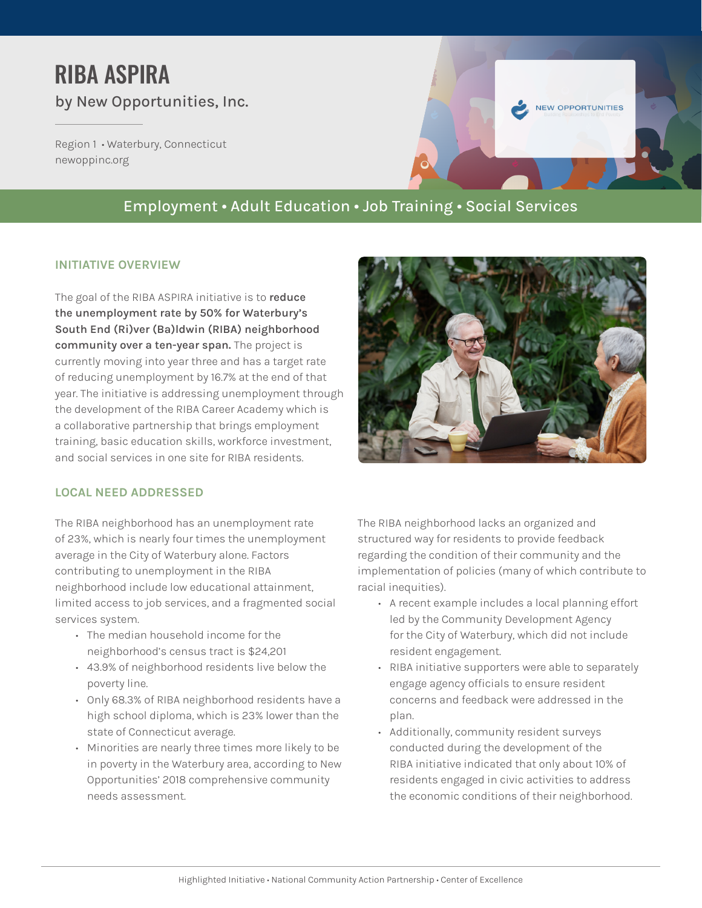# RIBA ASPIRA by New Opportunities, Inc.

Region 1 • Waterbury, Connecticut [newoppinc.org](http://www.newoppinc.org/)



# Employment • Adult Education • Job Training • Social Services

### **INITIATIVE OVERVIEW**

The goal of the RIBA ASPIRA initiative is to **reduce the unemployment rate by 50% for Waterbury's South End (Ri)ver (Ba)ldwin (RIBA) neighborhood community over a ten-year span.** The project is currently moving into year three and has a target rate of reducing unemployment by 16.7% at the end of that year. The initiative is addressing unemployment through the development of the RIBA Career Academy which is a collaborative partnership that brings employment training, basic education skills, workforce investment, and social services in one site for RIBA residents.



# **LOCAL NEED ADDRESSED**

The RIBA neighborhood has an unemployment rate of 23%, which is nearly four times the unemployment average in the City of Waterbury alone. Factors contributing to unemployment in the RIBA neighborhood include low educational attainment, limited access to job services, and a fragmented social services system.

- The median household income for the neighborhood's census tract is \$24,201
- 43.9% of neighborhood residents live below the poverty line.
- Only 68.3% of RIBA neighborhood residents have a high school diploma, which is 23% lower than the state of Connecticut average.
- Minorities are nearly three times more likely to be in poverty in the Waterbury area, according to New Opportunities' 2018 comprehensive community needs assessment.

The RIBA neighborhood lacks an organized and structured way for residents to provide feedback regarding the condition of their community and the implementation of policies (many of which contribute to racial inequities).

- A recent example includes a local planning effort led by the Community Development Agency for the City of Waterbury, which did not include resident engagement.
- RIBA initiative supporters were able to separately engage agency officials to ensure resident concerns and feedback were addressed in the plan.
- Additionally, community resident surveys conducted during the development of the RIBA initiative indicated that only about 10% of residents engaged in civic activities to address the economic conditions of their neighborhood.